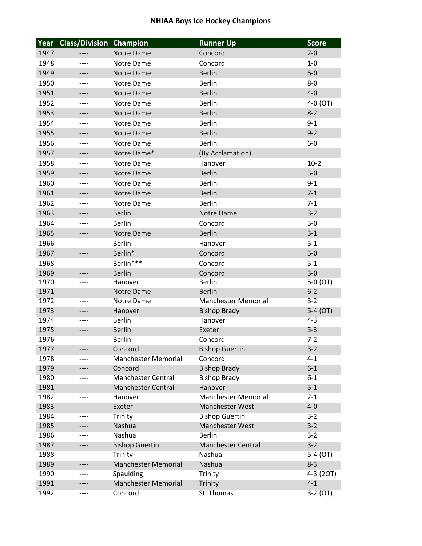## **NHIAA Boys Ice Hockey Champions**

| Year | <b>Class/Division Champion</b> |                            | <b>Runner Up</b>           | <b>Score</b> |
|------|--------------------------------|----------------------------|----------------------------|--------------|
| 1947 |                                | Notre Dame                 | Concord                    | $2 - 0$      |
| 1948 | ----                           | Notre Dame                 | Concord                    | $1 - 0$      |
| 1949 | ----                           | Notre Dame                 | <b>Berlin</b>              | $6-0$        |
| 1950 | ----                           | Notre Dame                 | <b>Berlin</b>              | $8 - 0$      |
| 1951 | ----                           | Notre Dame                 | <b>Berlin</b>              | $4 - 0$      |
| 1952 | ----                           | Notre Dame                 | <b>Berlin</b>              | 4-0 (OT)     |
| 1953 | ----                           | Notre Dame                 | <b>Berlin</b>              | $8 - 2$      |
| 1954 | ----                           | Notre Dame                 | <b>Berlin</b>              | $9 - 1$      |
| 1955 | ----                           | <b>Notre Dame</b>          | <b>Berlin</b>              | $9 - 2$      |
| 1956 | ----                           | Notre Dame                 | <b>Berlin</b>              | $6-0$        |
| 1957 | ----                           | Notre Dame*                | (By Acclamation)           |              |
| 1958 | $--- -$                        | Notre Dame                 | Hanover                    | $10-2$       |
| 1959 | ----                           | Notre Dame                 | <b>Berlin</b>              | $5-0$        |
| 1960 |                                | Notre Dame                 | <b>Berlin</b>              | $9 - 1$      |
| 1961 | ----                           | Notre Dame                 | <b>Berlin</b>              | $7 - 1$      |
| 1962 | ----                           | Notre Dame                 | <b>Berlin</b>              | $7 - 1$      |
| 1963 | ----                           | <b>Berlin</b>              | Notre Dame                 | $3 - 2$      |
| 1964 | ----                           | <b>Berlin</b>              | Concord                    | $3 - 0$      |
| 1965 | ----                           | Notre Dame                 | <b>Berlin</b>              | $3 - 1$      |
| 1966 |                                | <b>Berlin</b>              | Hanover                    | $5 - 1$      |
| 1967 | ----                           | Berlin*                    | Concord                    | $5-0$        |
| 1968 | ----                           | Berlin***                  | Concord                    | $5 - 1$      |
| 1969 |                                | <b>Berlin</b>              | Concord                    | $3 - 0$      |
| 1970 | ----<br>----                   | Hanover                    | <b>Berlin</b>              | 5-0 (OT)     |
| 1971 | ----                           | Notre Dame                 | <b>Berlin</b>              | $6 - 2$      |
| 1972 | ----                           | Notre Dame                 | <b>Manchester Memorial</b> | $3 - 2$      |
| 1973 | ----                           | Hanover                    | <b>Bishop Brady</b>        | 5-4 (OT)     |
| 1974 | ----                           | <b>Berlin</b>              | Hanover                    | $4 - 3$      |
| 1975 | ---                            | <b>Berlin</b>              | Exeter                     | $5 - 3$      |
| 1976 |                                | <b>Berlin</b>              | Concord                    | $7 - 2$      |
| 1977 |                                | Concord                    | <b>Bishop Guertin</b>      | $3 - 2$      |
| 1978 |                                | <b>Manchester Memorial</b> | Concord                    | $4 - 1$      |
| 1979 | ----                           | Concord                    | <b>Bishop Brady</b>        | $6 - 1$      |
| 1980 | ----                           | <b>Manchester Central</b>  | <b>Bishop Brady</b>        | $6 - 1$      |
| 1981 | ----                           | <b>Manchester Central</b>  | Hanover                    | $5 - 1$      |
| 1982 | ----                           | Hanover                    | <b>Manchester Memorial</b> | $2 - 1$      |
| 1983 | ----                           | Exeter                     | <b>Manchester West</b>     | $4-0$        |
| 1984 | ----                           | Trinity                    | <b>Bishop Guertin</b>      | $3 - 2$      |
| 1985 | ----                           | Nashua                     | Manchester West            | $3-2$        |
| 1986 | ----                           | Nashua                     | <b>Berlin</b>              | $3 - 2$      |
| 1987 | ----                           | <b>Bishop Guertin</b>      | <b>Manchester Central</b>  | $3-2$        |
| 1988 | ----                           | Trinity                    | Nashua                     | $5-4$ (OT)   |
| 1989 | ----                           | <b>Manchester Memorial</b> | Nashua                     | $8 - 3$      |
| 1990 | ----                           | Spaulding                  | Trinity                    | 4-3 (20T)    |
| 1991 |                                | <b>Manchester Memorial</b> | Trinity                    | $4 - 1$      |
| 1992 | ----                           | Concord                    | St. Thomas                 | 3-2 (OT)     |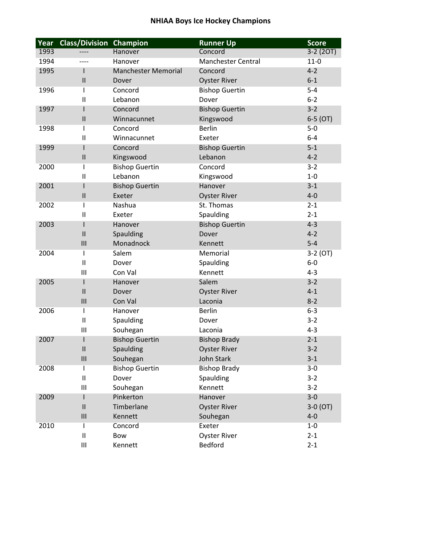## **NHIAA Boys Ice Hockey Champions**

| Year | <b>Class/Division</b>    | Champion                   | <b>Runner Up</b>          | <b>Score</b> |
|------|--------------------------|----------------------------|---------------------------|--------------|
| 1993 |                          | Hanover                    | Concord                   | $3-2(20T)$   |
| 1994 |                          | Hanover                    | <b>Manchester Central</b> | $11-0$       |
| 1995 |                          | <b>Manchester Memorial</b> | Concord                   | $4 - 2$      |
|      | $\mathbf{I}$             | Dover                      | <b>Oyster River</b>       | $6 - 1$      |
| 1996 | $\overline{\phantom{a}}$ | Concord                    | <b>Bishop Guertin</b>     | $5-4$        |
|      | $\mathbf{H}$             | Lebanon                    | Dover                     | $6 - 2$      |
| 1997 |                          | Concord                    | <b>Bishop Guertin</b>     | $3 - 2$      |
|      | $\mathsf{II}$            | Winnacunnet                | Kingswood                 | $6-5$ (OT)   |
| 1998 | ı                        | Concord                    | <b>Berlin</b>             | $5-0$        |
|      | $\mathbf{II}$            | Winnacunnet                | Exeter                    | $6 - 4$      |
| 1999 |                          | Concord                    | <b>Bishop Guertin</b>     | $5 - 1$      |
|      | $\mathsf{II}$            | Kingswood                  | Lebanon                   | $4 - 2$      |
| 2000 | T                        | <b>Bishop Guertin</b>      | Concord                   | $3 - 2$      |
|      | $\mathbf{I}$             | Lebanon                    | Kingswood                 | $1-0$        |
| 2001 |                          | <b>Bishop Guertin</b>      | Hanover                   | $3 - 1$      |
|      | $\mathbf{I}$             | Exeter                     | <b>Oyster River</b>       | $4 - 0$      |
| 2002 | T                        | Nashua                     | St. Thomas                | $2 - 1$      |
|      | $\mathbf{I}$             | Exeter                     | Spaulding                 | $2 - 1$      |
| 2003 |                          | Hanover                    | <b>Bishop Guertin</b>     | $4 - 3$      |
|      | $\mathbf{I}$             | Spaulding                  | Dover                     | $4 - 2$      |
|      | III                      | Monadnock                  | Kennett                   | $5 - 4$      |
| 2004 | T                        | Salem                      | Memorial                  | 3-2 (OT)     |
|      | $\mathbf{II}$            | Dover                      | Spaulding                 | $6-0$        |
|      | Ш                        | Con Val                    | Kennett                   | $4 - 3$      |
| 2005 |                          | Hanover                    | Salem                     | $3 - 2$      |
|      | $\mathbf{I}$             | Dover                      | <b>Oyster River</b>       | $4 - 1$      |
|      | III                      | Con Val                    | Laconia                   | $8 - 2$      |
| 2006 | T                        | Hanover                    | <b>Berlin</b>             | $6 - 3$      |
|      | $\mathbf{I}$             | Spaulding                  | Dover                     | $3 - 2$      |
|      | Ш                        | Souhegan                   | Laconia                   | $4 - 3$      |
| 2007 |                          | <b>Bishop Guertin</b>      | <b>Bishop Brady</b>       | $2 - 1$      |
|      | Ш                        | Spaulding                  | <b>Oyster River</b>       | $3 - 2$      |
|      | $\mathbf{III}$           | Souhegan                   | John Stark                | $3 - 1$      |
| 2008 |                          | <b>Bishop Guertin</b>      | <b>Bishop Brady</b>       | $3 - 0$      |
|      | $\mathbf{I}$             | Dover                      | Spaulding                 | $3-2$        |
|      | Ш                        | Souhegan                   | Kennett                   | $3-2$        |
| 2009 |                          | Pinkerton                  | Hanover                   | $3-0$        |
|      | $\mathbf{I}$             | Timberlane                 | <b>Oyster River</b>       | $3-0(0T)$    |
|      | III                      | Kennett                    | Souhegan                  | $4 - 0$      |
| 2010 | T                        | Concord                    | Exeter                    | $1-0$        |
|      | $\mathbf{I}$             | Bow                        | <b>Oyster River</b>       | $2 - 1$      |
|      | Ш                        | Kennett                    | Bedford                   | $2 - 1$      |